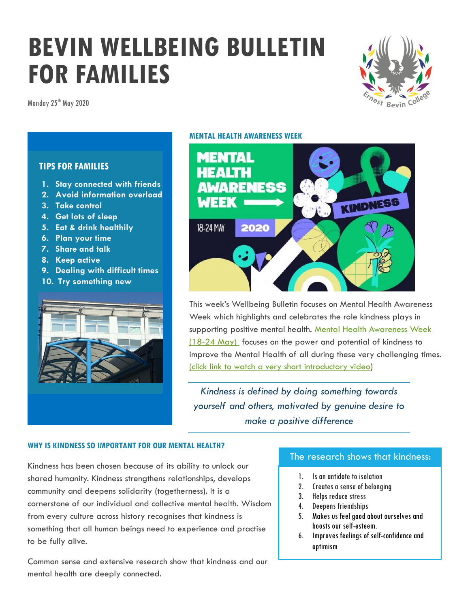# **BEVIN WELLBEING BULLETIN FOR FAMILIES**

Monday 25<sup>th</sup> May 2020



# **TIPS FOR FAMILIES**

- **1. Stay connected with friends**
- **2. Avoid information overload**
- **3. Take control**
- **4. Get lots of sleep**
- **5. Eat & drink healthily**
- **6. Plan your time**
- **7. Share and talk**
- **8. Keep active**
- **9. Dealing with difficult times**
- **10. Try something new**



#### **MENTAL HEALTH AWARENESS WEEK**



This week's Wellbeing Bulletin focuses on Mental Health Awareness Week which highlights and celebrates the role kindness plays in supporting positive mental health. Mental Health Awareness Week [\(18-24 May\)](http://www.mentalhealth.org.uk/campaigns/mental-health-awareness-week) focuses on the power and potential of kindness to improve the Mental Health of all during these very challenging times. [\(click link to watch a very short introductory video\)](https://youtu.be/Qcyc68d6OAk)

*Kindness is defined by doing something towards yourself and others, motivated by genuine desire to make a positive difference*

#### **WHY IS KINDNESS SO IMPORTANT FOR OUR MENTAL HEALTH?**

Kindness has been chosen because of its ability to unlock our shared humanity. Kindness strengthens relationships, develops community and deepens solidarity (togetherness). It is a cornerstone of our individual and collective mental health. Wisdom from every culture across history recognises that kindness is something that all human beings need to experience and practise to be fully alive.

Common sense and extensive research show that kindness and our mental health are deeply connected.

# The research shows that kindness:

- 1. Is an antidote to isolation
- 2. Creates a sense of belonging
- 3. Helps reduce stress
- 4. Deepens friendships
- 5. Makes us feel gaod about ourselves and boosts our self-esteem.
- 6. Improves feelings of self-confidence and optimism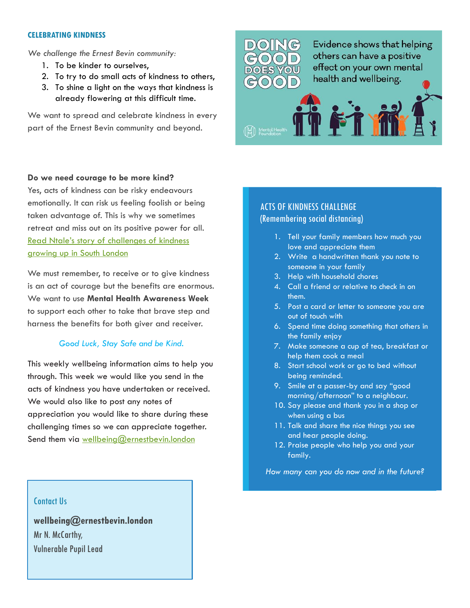#### **CELEBRATING KINDNESS**

*We challenge the Ernest Bevin community:*

- 1. To be kinder to ourselves,
- 2. To try to do small acts of kindness to others,
- 3. To shine a light on the ways that kindness is already flowering at this difficult time.

We want to spread and celebrate kindness in every part of the Ernest Bevin community and beyond.



#### **Do we need courage to be more kind?**

Yes, acts of kindness can be risky endeavours emotionally. It can risk us feeling foolish or being taken advantage of. This is why we sometimes retreat and miss out on its positive power for all. Read Ntale'[s story of challenges of kindness](https://www.mentalhealth.org.uk/campaigns/mental-health-awareness-week/kindness-stories/ntale-power-kindness)  [growing up in South London](https://www.mentalhealth.org.uk/campaigns/mental-health-awareness-week/kindness-stories/ntale-power-kindness)

We must remember, to receive or to give kindness is an act of courage but the benefits are enormous. We want to use **Mental Health Awareness Week** to support each other to take that brave step and harness the benefits for both giver and receiver.

#### *Good Luck, Stay Safe and be Kind.*

This weekly wellbeing information aims to help you through. This week we would like you send in the acts of kindness you have undertaken or received. We would also like to post any notes of appreciation you would like to share during these challenging times so we can appreciate together. Send them via [wellbeing@ernestbevin.london](mailto:wellbeing@ernestbevin.london)

# ACTS OF KINDNESS CHALLENGE (Remembering social distancing)

- 1. Tell your family members how much you love and appreciate them
- 2. Write a handwritten thank you note to someone in your family
- 3. Help with household chores
- 4. Call a friend or relative to check in on them.
- 5. Post a card or letter to someone you are out of touch with
- 6. Spend time doing something that others in the family enjoy
- 7. Make someone a cup of tea, breakfast or help them cook a meal
- 8. Start school work or go to bed without being reminded.
- 9. Smile at a passer-by and say "good morning/afternoon" to a neighbour.
- 10. Say please and thank you in a shop or when using a bus
- 11. Talk and share the nice things you see and hear people doing.
- 12. Praise people who help you and your family.

*How many can you do now and in the future?*

#### Contact Us

**wellbeing@ernestbevin.london** Mr N. McCarthy, Vulnerable Pupil Lead